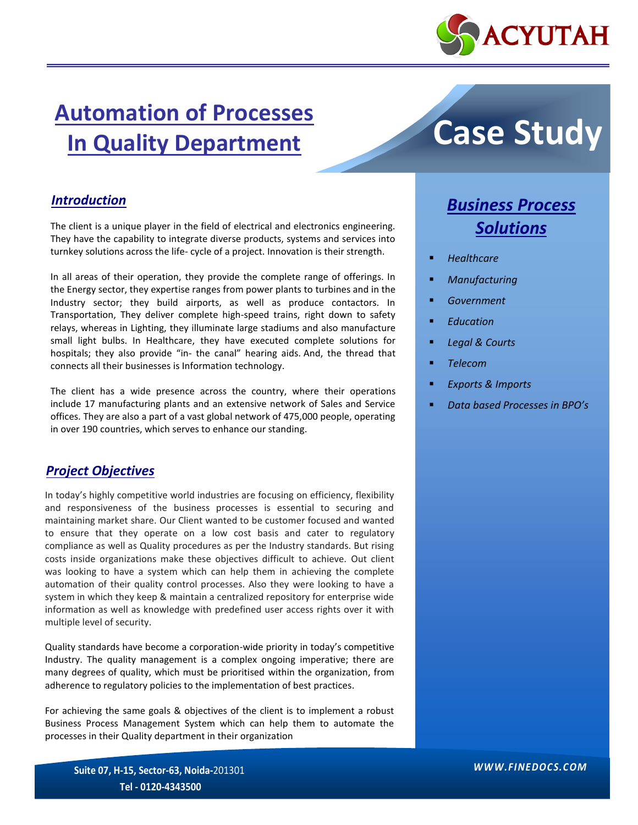

## **Automation of Processes In Quality Department**

# **Case Study**

### *Introduction*

The client is a unique player in the field of electrical and electronics engineering. They have the capability to integrate diverse products, systems and services into turnkey solutions across the life- cycle of a project. Innovation is their strength.

In all areas of their operation, they provide the complete range of offerings. In the Energy sector, they expertise ranges from power plants to turbines and in the Industry sector; they build airports, as well as produce contactors. In Transportation, They deliver complete high-speed trains, right down to safety relays, whereas in Lighting, they illuminate large stadiums and also manufacture small light bulbs. In Healthcare, they have executed complete solutions for hospitals; they also provide "in- the canal" hearing aids. And, the thread that connects all their businesses is Information technology.

The client has a wide presence across the country, where their operations include 17 manufacturing plants and an extensive network of Sales and Service offices. They are also a part of a vast global network of 475,000 people, operating in over 190 countries, which serves to enhance our standing.

#### *Project Objectives*

In today's highly competitive world industries are focusing on efficiency, flexibility and responsiveness of the business processes is essential to securing and maintaining market share. Our Client wanted to be customer focused and wanted to ensure that they operate on a low cost basis and cater to regulatory compliance as well as Quality procedures as per the Industry standards. But rising costs inside organizations make these objectives difficult to achieve. Out client was looking to have a system which can help them in achieving the complete automation of their quality control processes. Also they were looking to have a system in which they keep & maintain a centralized repository for enterprise wide information as well as knowledge with predefined user access rights over it with multiple level of security.

Quality standards have become a corporation-wide priority in today's competitive Industry. The quality management is a complex ongoing imperative; there are many degrees of quality, which must be prioritised within the organization, from adherence to regulatory policies to the implementation of best practices.

For achieving the same goals & objectives of the client is to implement a robust Business Process Management System which can help them to automate the processes in their Quality department in their organization

## *Business Process Solutions*

- *Healthcare*
- *Manufacturing*
- *Government*
- *Education*
- *Legal & Courts*
- *Telecom*
- *Exports & Imports*
- *Data based Processes in BPO's*